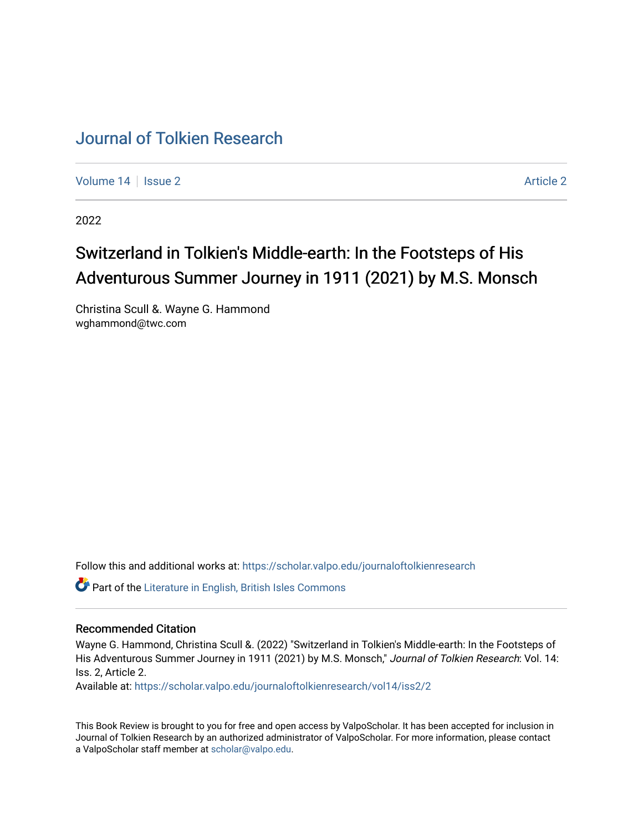## [Journal of Tolkien Research](https://scholar.valpo.edu/journaloftolkienresearch)

[Volume 14](https://scholar.valpo.edu/journaloftolkienresearch/vol14) | [Issue 2](https://scholar.valpo.edu/journaloftolkienresearch/vol14/iss2) [Article 2](https://scholar.valpo.edu/journaloftolkienresearch/vol14/iss2/2) Article 2 Article 2 Article 2 Article 2 Article 2 Article 2 Article 2 Article 2

2022

## Switzerland in Tolkien's Middle-earth: In the Footsteps of His Adventurous Summer Journey in 1911 (2021) by M.S. Monsch

Christina Scull &. Wayne G. Hammond wghammond@twc.com

Follow this and additional works at: [https://scholar.valpo.edu/journaloftolkienresearch](https://scholar.valpo.edu/journaloftolkienresearch?utm_source=scholar.valpo.edu%2Fjournaloftolkienresearch%2Fvol14%2Fiss2%2F2&utm_medium=PDF&utm_campaign=PDFCoverPages) 

Part of the [Literature in English, British Isles Commons](http://network.bepress.com/hgg/discipline/456?utm_source=scholar.valpo.edu%2Fjournaloftolkienresearch%2Fvol14%2Fiss2%2F2&utm_medium=PDF&utm_campaign=PDFCoverPages)

## Recommended Citation

Wayne G. Hammond, Christina Scull &. (2022) "Switzerland in Tolkien's Middle-earth: In the Footsteps of His Adventurous Summer Journey in 1911 (2021) by M.S. Monsch," Journal of Tolkien Research: Vol. 14: Iss. 2, Article 2.

Available at: [https://scholar.valpo.edu/journaloftolkienresearch/vol14/iss2/2](https://scholar.valpo.edu/journaloftolkienresearch/vol14/iss2/2?utm_source=scholar.valpo.edu%2Fjournaloftolkienresearch%2Fvol14%2Fiss2%2F2&utm_medium=PDF&utm_campaign=PDFCoverPages) 

This Book Review is brought to you for free and open access by ValpoScholar. It has been accepted for inclusion in Journal of Tolkien Research by an authorized administrator of ValpoScholar. For more information, please contact a ValpoScholar staff member at [scholar@valpo.edu](mailto:scholar@valpo.edu).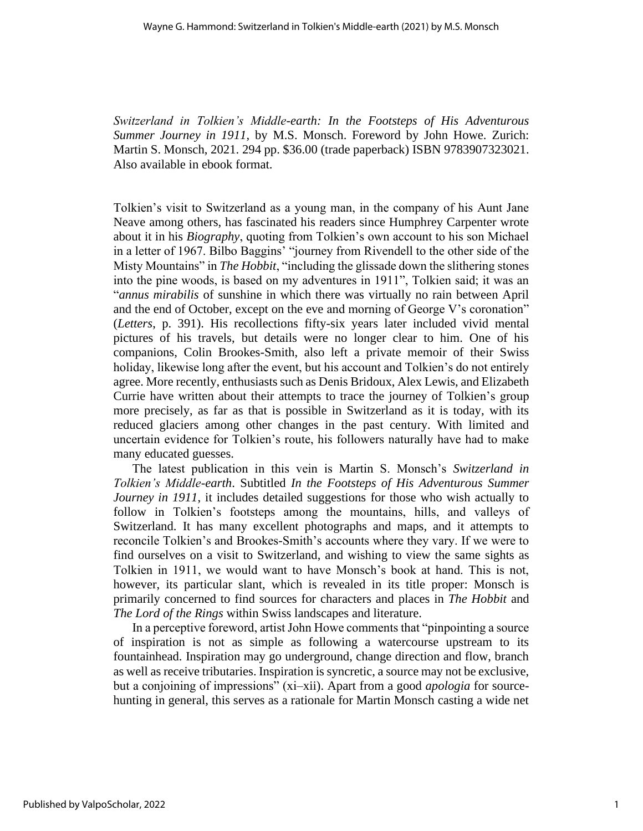*Switzerland in Tolkien's Middle-earth: In the Footsteps of His Adventurous Summer Journey in 1911*, by M.S. Monsch. Foreword by John Howe. Zurich: Martin S. Monsch, 2021. 294 pp. \$36.00 (trade paperback) ISBN 9783907323021. Also available in ebook format.

Tolkien's visit to Switzerland as a young man, in the company of his Aunt Jane Neave among others, has fascinated his readers since Humphrey Carpenter wrote about it in his *Biography*, quoting from Tolkien's own account to his son Michael in a letter of 1967. Bilbo Baggins' "journey from Rivendell to the other side of the Misty Mountains" in *The Hobbit*, "including the glissade down the slithering stones into the pine woods, is based on my adventures in 1911", Tolkien said; it was an "*annus mirabilis* of sunshine in which there was virtually no rain between April and the end of October, except on the eve and morning of George V's coronation" (*Letters*, p. 391). His recollections fifty-six years later included vivid mental pictures of his travels, but details were no longer clear to him. One of his companions, Colin Brookes-Smith, also left a private memoir of their Swiss holiday, likewise long after the event, but his account and Tolkien's do not entirely agree. More recently, enthusiasts such as Denis Bridoux, Alex Lewis, and Elizabeth Currie have written about their attempts to trace the journey of Tolkien's group more precisely, as far as that is possible in Switzerland as it is today, with its reduced glaciers among other changes in the past century. With limited and uncertain evidence for Tolkien's route, his followers naturally have had to make many educated guesses.

The latest publication in this vein is Martin S. Monsch's *Switzerland in Tolkien's Middle-earth*. Subtitled *In the Footsteps of His Adventurous Summer Journey in 1911*, it includes detailed suggestions for those who wish actually to follow in Tolkien's footsteps among the mountains, hills, and valleys of Switzerland. It has many excellent photographs and maps, and it attempts to reconcile Tolkien's and Brookes-Smith's accounts where they vary. If we were to find ourselves on a visit to Switzerland, and wishing to view the same sights as Tolkien in 1911, we would want to have Monsch's book at hand. This is not, however, its particular slant, which is revealed in its title proper: Monsch is primarily concerned to find sources for characters and places in *The Hobbit* and *The Lord of the Rings* within Swiss landscapes and literature.

In a perceptive foreword, artist John Howe comments that "pinpointing a source of inspiration is not as simple as following a watercourse upstream to its fountainhead. Inspiration may go underground, change direction and flow, branch as well as receive tributaries. Inspiration is syncretic, a source may not be exclusive, but a conjoining of impressions" (xi–xii). Apart from a good *apologia* for sourcehunting in general, this serves as a rationale for Martin Monsch casting a wide net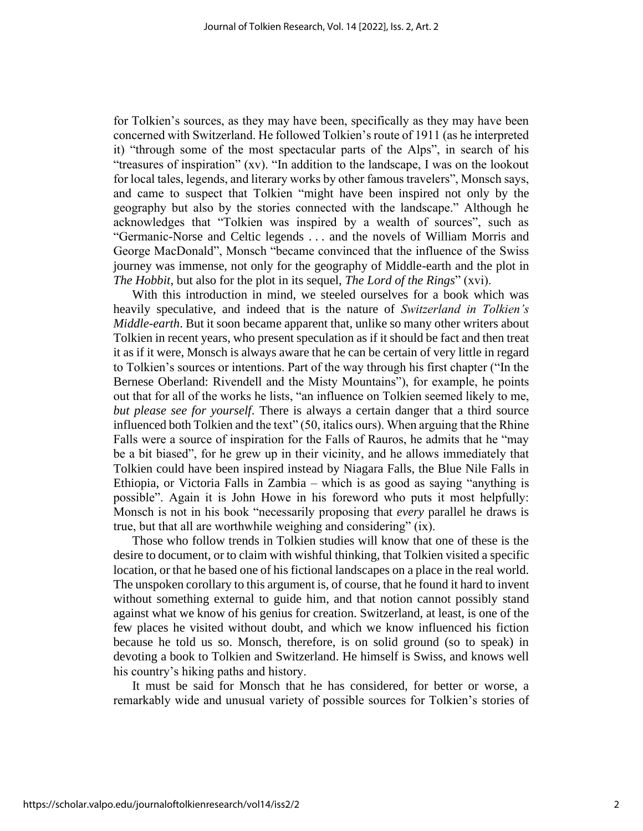for Tolkien's sources, as they may have been, specifically as they may have been concerned with Switzerland. He followed Tolkien's route of 1911 (as he interpreted it) "through some of the most spectacular parts of the Alps", in search of his "treasures of inspiration" (xv). "In addition to the landscape, I was on the lookout for local tales, legends, and literary works by other famous travelers", Monsch says, and came to suspect that Tolkien "might have been inspired not only by the geography but also by the stories connected with the landscape." Although he acknowledges that "Tolkien was inspired by a wealth of sources", such as "Germanic-Norse and Celtic legends . . . and the novels of William Morris and George MacDonald", Monsch "became convinced that the influence of the Swiss journey was immense, not only for the geography of Middle-earth and the plot in *The Hobbit*, but also for the plot in its sequel, *The Lord of the Rings*" (xvi).

With this introduction in mind, we steeled ourselves for a book which was heavily speculative, and indeed that is the nature of *Switzerland in Tolkien's Middle-earth*. But it soon became apparent that, unlike so many other writers about Tolkien in recent years, who present speculation as if it should be fact and then treat it as if it were, Monsch is always aware that he can be certain of very little in regard to Tolkien's sources or intentions. Part of the way through his first chapter ("In the Bernese Oberland: Rivendell and the Misty Mountains"), for example, he points out that for all of the works he lists, "an influence on Tolkien seemed likely to me, *but please see for yourself*. There is always a certain danger that a third source influenced both Tolkien and the text" (50, italics ours). When arguing that the Rhine Falls were a source of inspiration for the Falls of Rauros, he admits that he "may be a bit biased", for he grew up in their vicinity, and he allows immediately that Tolkien could have been inspired instead by Niagara Falls, the Blue Nile Falls in Ethiopia, or Victoria Falls in Zambia – which is as good as saying "anything is possible". Again it is John Howe in his foreword who puts it most helpfully: Monsch is not in his book "necessarily proposing that *every* parallel he draws is true, but that all are worthwhile weighing and considering" (ix).

Those who follow trends in Tolkien studies will know that one of these is the desire to document, or to claim with wishful thinking, that Tolkien visited a specific location, or that he based one of his fictional landscapes on a place in the real world. The unspoken corollary to this argument is, of course, that he found it hard to invent without something external to guide him, and that notion cannot possibly stand against what we know of his genius for creation. Switzerland, at least, is one of the few places he visited without doubt, and which we know influenced his fiction because he told us so. Monsch, therefore, is on solid ground (so to speak) in devoting a book to Tolkien and Switzerland. He himself is Swiss, and knows well his country's hiking paths and history.

It must be said for Monsch that he has considered, for better or worse, a remarkably wide and unusual variety of possible sources for Tolkien's stories of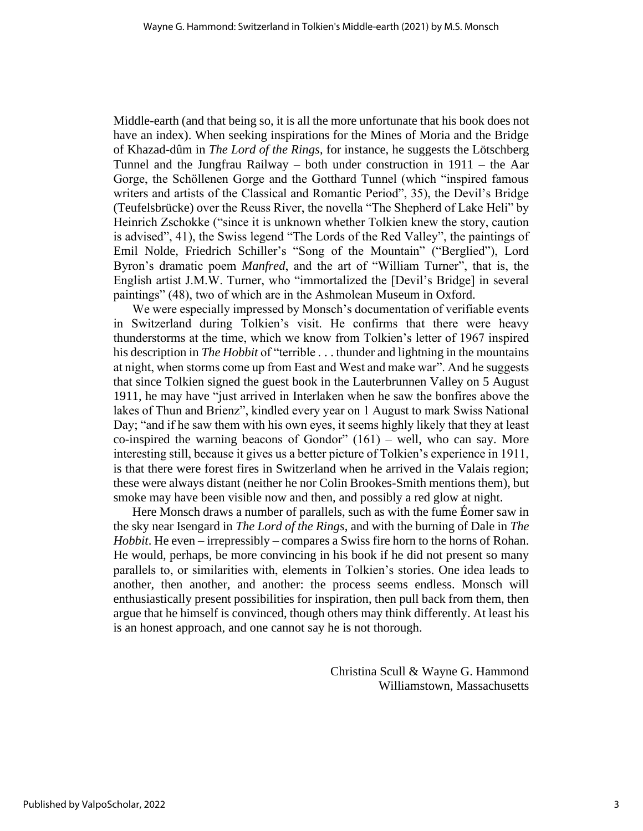Middle-earth (and that being so, it is all the more unfortunate that his book does not have an index). When seeking inspirations for the Mines of Moria and the Bridge of Khazad-dûm in *The Lord of the Rings*, for instance, he suggests the Lötschberg Tunnel and the Jungfrau Railway – both under construction in 1911 – the Aar Gorge, the Schöllenen Gorge and the Gotthard Tunnel (which "inspired famous writers and artists of the Classical and Romantic Period", 35), the Devil's Bridge (Teufelsbrücke) over the Reuss River, the novella "The Shepherd of Lake Heli" by Heinrich Zschokke ("since it is unknown whether Tolkien knew the story, caution is advised", 41), the Swiss legend "The Lords of the Red Valley", the paintings of Emil Nolde, Friedrich Schiller's "Song of the Mountain" ("Berglied"), Lord Byron's dramatic poem *Manfred*, and the art of "William Turner", that is, the English artist J.M.W. Turner, who "immortalized the [Devil's Bridge] in several paintings" (48), two of which are in the Ashmolean Museum in Oxford.

We were especially impressed by Monsch's documentation of verifiable events in Switzerland during Tolkien's visit. He confirms that there were heavy thunderstorms at the time, which we know from Tolkien's letter of 1967 inspired his description in *The Hobbit* of "terrible . . . thunder and lightning in the mountains at night, when storms come up from East and West and make war". And he suggests that since Tolkien signed the guest book in the Lauterbrunnen Valley on 5 August 1911, he may have "just arrived in Interlaken when he saw the bonfires above the lakes of Thun and Brienz", kindled every year on 1 August to mark Swiss National Day; "and if he saw them with his own eyes, it seems highly likely that they at least co-inspired the warning beacons of Gondor"  $(161)$  – well, who can say. More interesting still, because it gives us a better picture of Tolkien's experience in 1911, is that there were forest fires in Switzerland when he arrived in the Valais region; these were always distant (neither he nor Colin Brookes-Smith mentions them), but smoke may have been visible now and then, and possibly a red glow at night.

Here Monsch draws a number of parallels, such as with the fume Éomer saw in the sky near Isengard in *The Lord of the Rings*, and with the burning of Dale in *The Hobbit*. He even – irrepressibly – compares a Swiss fire horn to the horns of Rohan. He would, perhaps, be more convincing in his book if he did not present so many parallels to, or similarities with, elements in Tolkien's stories. One idea leads to another, then another, and another: the process seems endless. Monsch will enthusiastically present possibilities for inspiration, then pull back from them, then argue that he himself is convinced, though others may think differently. At least his is an honest approach, and one cannot say he is not thorough.

> Christina Scull & Wayne G. Hammond Williamstown, Massachusetts